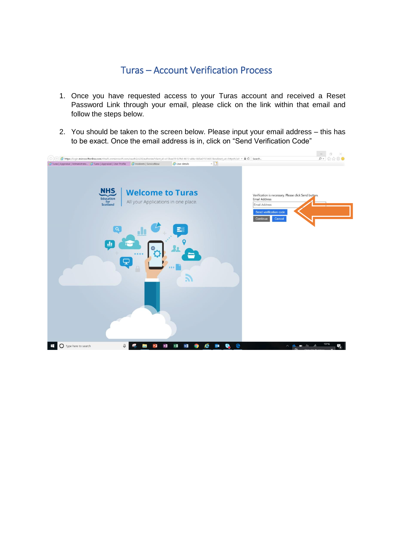## Turas – Account Verification Process

- 1. Once you have requested access to your Turas account and received a Reset Password Link through your email, please click on the link within that email and follow the steps below.
- 2. You should be taken to the screen below. Please input your email address this has to be exact. Once the email address is in, click on "Send Verification Code"

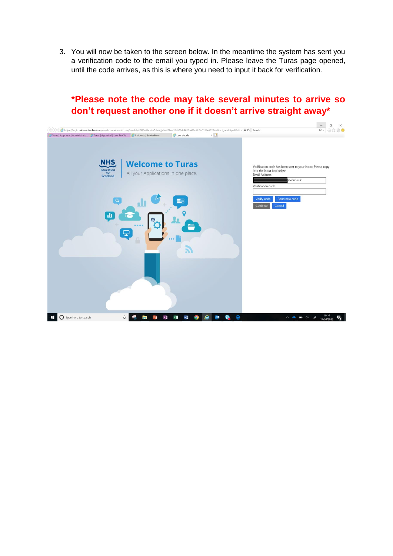3. You will now be taken to the screen below. In the meantime the system has sent you a verification code to the email you typed in. Please leave the Turas page opened, until the code arrives, as this is where you need to input it back for verification.

## **\*Please note the code may take several minutes to arrive so don't request another one if it doesn't arrive straight away\***

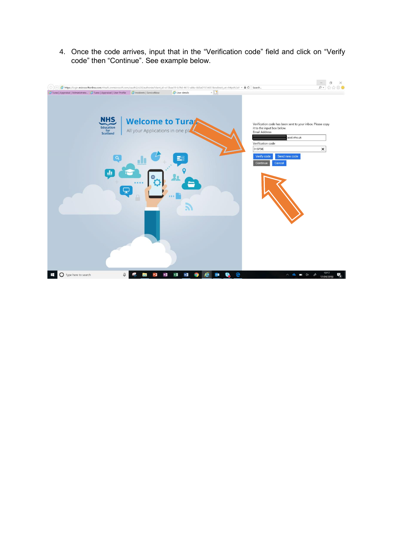4. Once the code arrives, input that in the "Verification code" field and click on "Verify code" then "Continue". See example below.

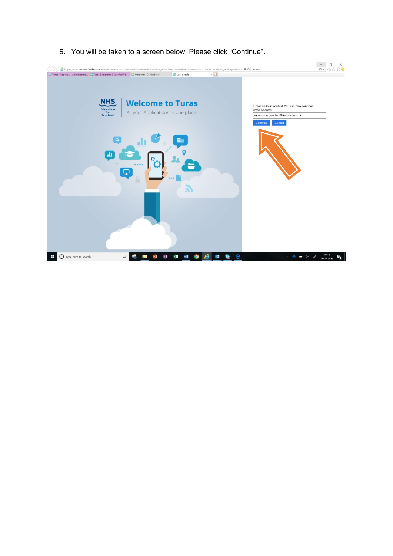

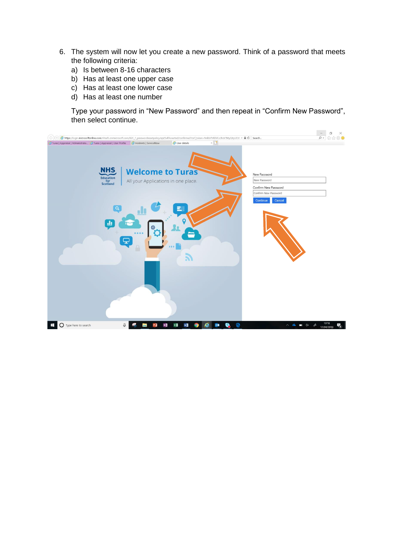- 6. The system will now let you create a new password. Think of a password that meets the following criteria:
	- a) Is between 8-16 characters
	- b) Has at least one upper case
	- c) Has at least one lower case
	- d) Has at least one number

Type your password in "New Password" and then repeat in "Confirm New Password", then select continue.